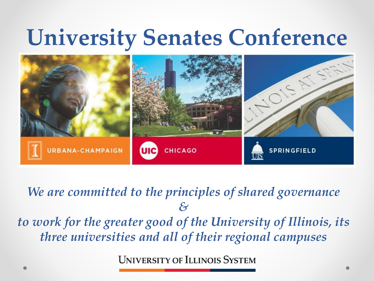## **University Senates Conference**



*We are committed to the principles of shared governance & to work for the greater good of the University of Illinois, its three universities and all of their regional campuses*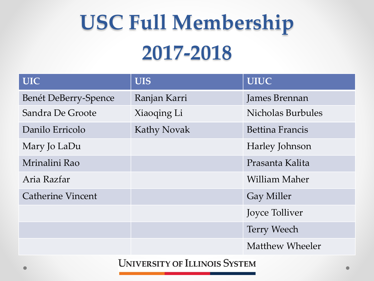# **USC Full Membership 2017-2018**

| <b>UIC</b>               | <b>UIS</b>         | <b>UIUC</b>            |
|--------------------------|--------------------|------------------------|
| Benét DeBerry-Spence     | Ranjan Karri       | James Brennan          |
| Sandra De Groote         | Xiaoqing Li        | Nicholas Burbules      |
| Danilo Erricolo          | <b>Kathy Novak</b> | <b>Bettina Francis</b> |
| Mary Jo LaDu             |                    | Harley Johnson         |
| Mrinalini Rao            |                    | Prasanta Kalita        |
| Aria Razfar              |                    | William Maher          |
| <b>Catherine Vincent</b> |                    | <b>Gay Miller</b>      |
|                          |                    | Joyce Tolliver         |
|                          |                    | <b>Terry Weech</b>     |
|                          |                    | <b>Matthew Wheeler</b> |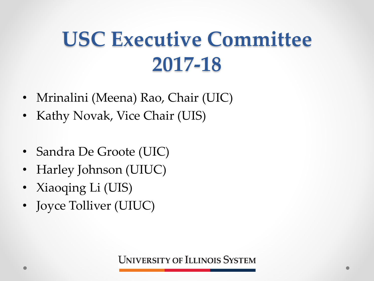## **USC Executive Committee 2017-18**

- Mrinalini (Meena) Rao, Chair (UIC)
- Kathy Novak, Vice Chair (UIS)
- Sandra De Groote (UIC)
- Harley Johnson (UIUC)
- Xiaoqing Li (UIS)
- Joyce Tolliver (UIUC)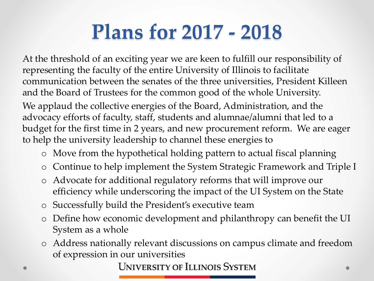#### **Plans for 2017 - 2018**

At the threshold of an exciting year we are keen to fulfill our responsibility of representing the faculty of the entire University of Illinois to facilitate communication between the senates of the three universities, President Killeen and the Board of Trustees for the common good of the whole University.

We applaud the collective energies of the Board, Administration, and the advocacy efforts of faculty, staff, students and alumnae/alumni that led to a budget for the first time in 2 years, and new procurement reform. We are eager to help the university leadership to channel these energies to

- o Move from the hypothetical holding pattern to actual fiscal planning
- o Continue to help implement the System Strategic Framework and Triple I
- o Advocate for additional regulatory reforms that will improve our efficiency while underscoring the impact of the UI System on the State
- o Successfully build the President's executive team
- o Define how economic development and philanthropy can benefit the UI System as a whole
- o Address nationally relevant discussions on campus climate and freedom of expression in our universities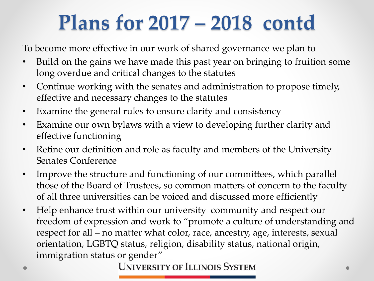## **Plans for 2017 – 2018 contd**

To become more effective in our work of shared governance we plan to

- Build on the gains we have made this past year on bringing to fruition some long overdue and critical changes to the statutes
- Continue working with the senates and administration to propose timely, effective and necessary changes to the statutes
- Examine the general rules to ensure clarity and consistency
- Examine our own bylaws with a view to developing further clarity and effective functioning
- Refine our definition and role as faculty and members of the University Senates Conference
- Improve the structure and functioning of our committees, which parallel those of the Board of Trustees, so common matters of concern to the faculty of all three universities can be voiced and discussed more efficiently
- Help enhance trust within our university community and respect our freedom of expression and work to "promote a culture of understanding and respect for all – no matter what color, race, ancestry, age, interests, sexual orientation, LGBTQ status, religion, disability status, national origin, immigration status or gender"<br>UNIVERSITY OF ILLINOIS SYSTEM